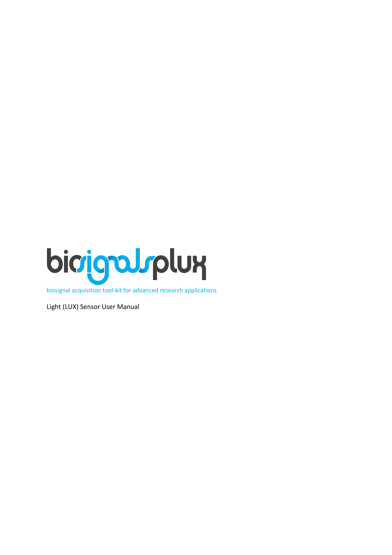

biosignal acquisition tool-kit for advanced research applications

Light (LUX) Sensor User Manual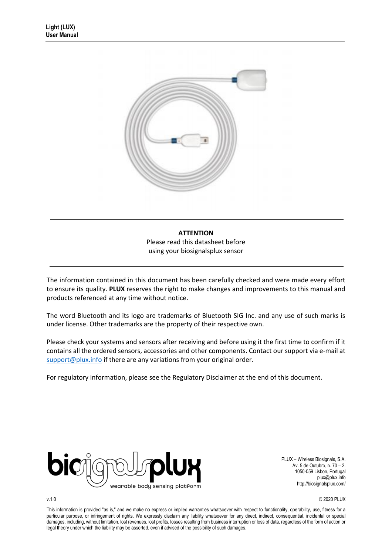

## **ATTENTION** Please read this datasheet before using your biosignalsplux sensor

The information contained in this document has been carefully checked and were made every effort to ensure its quality. **PLUX** reserves the right to make changes and improvements to this manual and products referenced at any time without notice.

The word Bluetooth and its logo are trademarks of Bluetooth SIG Inc. and any use of such marks is under license. Other trademarks are the property of their respective own.

Please check your systems and sensors after receiving and before using it the first time to confirm if it contains all the ordered sensors, accessories and other components. Contact our support via e-mail at [support@plux.info](mailto:support@plux.info) if there are any variations from your original order.

For regulatory information, please see th[e Regulatory Disclaimer](#page-15-0) at the end of this document.



PLUX – Wireless Biosignals, S.A. Av. 5 de Outubro, n. 70 – 2. 1050-059 Lisbon, Portugal plux@plux.info http://biosignalsplux.com/

v.1.0 © 2020 PLUX

This information is provided "as is," and we make no express or implied warranties whatsoever with respect to functionality, operability, use, fitness for a particular purpose, or infringement of rights. We expressly disclaim any liability whatsoever for any direct, indirect, consequential, incidental or special damages, including, without limitation, lost revenues, lost profits, losses resulting from business interruption or loss of data, regardless of the form of action or legal theory under which the liability may be asserted, even if advised of the possibility of such damages.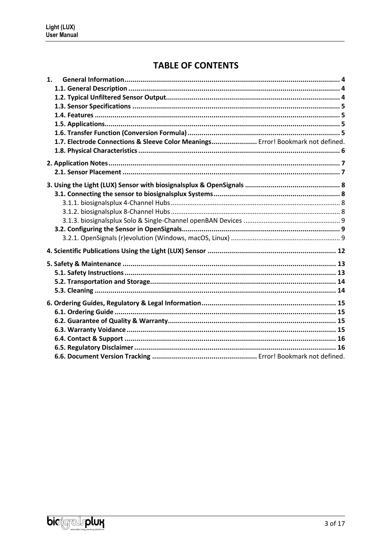# **TABLE OF CONTENTS**

| 1. |                                                                                 |  |
|----|---------------------------------------------------------------------------------|--|
|    |                                                                                 |  |
|    |                                                                                 |  |
|    |                                                                                 |  |
|    |                                                                                 |  |
|    |                                                                                 |  |
|    |                                                                                 |  |
|    | 1.7. Electrode Connections & Sleeve Color Meanings Error! Bookmark not defined. |  |
|    |                                                                                 |  |
|    |                                                                                 |  |
|    |                                                                                 |  |
|    |                                                                                 |  |
|    |                                                                                 |  |
|    |                                                                                 |  |
|    |                                                                                 |  |
|    |                                                                                 |  |
|    |                                                                                 |  |
|    |                                                                                 |  |
|    |                                                                                 |  |
|    |                                                                                 |  |
|    |                                                                                 |  |
|    |                                                                                 |  |
|    |                                                                                 |  |
|    |                                                                                 |  |
|    |                                                                                 |  |
|    |                                                                                 |  |
|    |                                                                                 |  |
|    |                                                                                 |  |
|    |                                                                                 |  |
|    |                                                                                 |  |
|    |                                                                                 |  |
|    |                                                                                 |  |

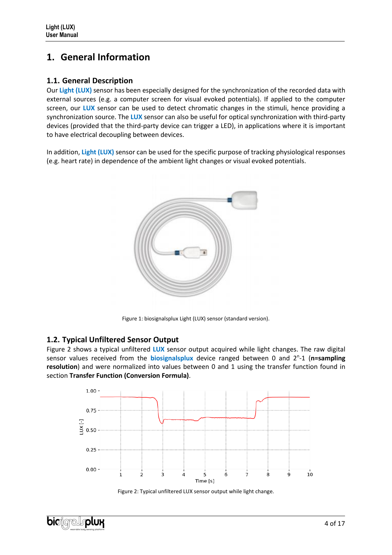# <span id="page-3-0"></span>**1. General Information**

## <span id="page-3-1"></span>**1.1. General Description**

Our Light (LUX) sensor has been especially designed for the synchronization of the recorded data with external sources (e.g. a computer screen for visual evoked potentials). If applied to the computer screen, our **LUX** sensor can be used to detect chromatic changes in the stimuli, hence providing a synchronization source. The **LUX** sensor can also be useful for optical synchronization with third-party devices (provided that the third-party device can trigger a LED), in applications where it is important to have electrical decoupling between devices.

In addition, **Light (LUX)** sensor can be used for the specific purpose of tracking physiological responses (e.g. heart rate) in dependence of the ambient light changes or visual evoked potentials.



Figure 1: biosignalsplux Light (LUX) sensor (standard version).

## <span id="page-3-2"></span>**1.2. Typical Unfiltered Sensor Output**

[Figure 2](#page-3-3) shows a typical unfiltered **LUX** sensor output acquired while light changes. The raw digital sensor values received from the **biosignalsplux** device ranged between 0 and 2<sup>n</sup>-1 (n=sampling **resolution**) and were normalized into values between 0 and 1 using the transfer function found in section **Transfer Function [\(Conversion Formula\)](#page-4-3)**.



Figure 2: Typical unfiltered LUX sensor output while light change.

<span id="page-3-3"></span>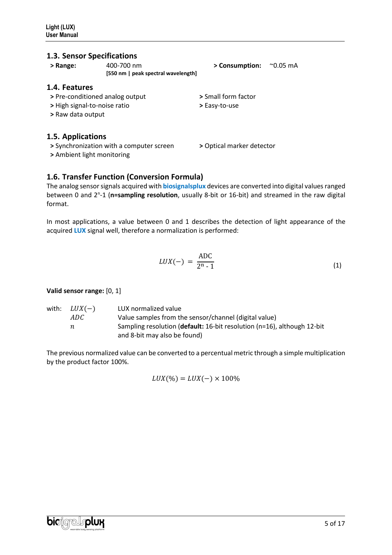## <span id="page-4-0"></span>**1.3. Sensor Specifications**

<span id="page-4-1"></span>

| > Range:                     | 400-700 nm                               | > Consumption:            | $^{\sim}$ 0.05 mA |
|------------------------------|------------------------------------------|---------------------------|-------------------|
|                              | [550 nm   peak spectral wavelength]      |                           |                   |
| 1.4. Features                |                                          |                           |                   |
|                              | > Pre-conditioned analog output          | > Small form factor       |                   |
| > High signal-to-noise ratio |                                          | > Easy-to-use             |                   |
| > Raw data output            |                                          |                           |                   |
| 1.5. Applications            |                                          |                           |                   |
|                              | > Synchronization with a computer screen | > Optical marker detector |                   |
| > Ambient light monitoring   |                                          |                           |                   |

## <span id="page-4-3"></span><span id="page-4-2"></span>**1.6. Transfer Function (Conversion Formula)**

The analog sensor signals acquired with **biosignalsplux** devices are converted into digital values ranged between 0 and 2<sup>n</sup>-1 (n=sampling resolution, usually 8-bit or 16-bit) and streamed in the raw digital format.

In most applications, a value between 0 and 1 describes the detection of light appearance of the acquired **LUX** signal well, therefore a normalization is performed:

$$
LUX(-) = \frac{\text{ADC}}{2^n - 1} \tag{1}
$$

#### **Valid sensor range:** [0, 1]

| with: $LUX(-)$ | LUX normalized value                                                    |
|----------------|-------------------------------------------------------------------------|
| ADC            | Value samples from the sensor/channel (digital value)                   |
| n              | Sampling resolution (default: 16-bit resolution (n=16), although 12-bit |
|                | and 8-bit may also be found)                                            |

The previous normalized value can be converted to a percentual metric through a simple multiplication by the product factor 100%.

 $LUX(\%) = LUX(-) \times 100\%$ 

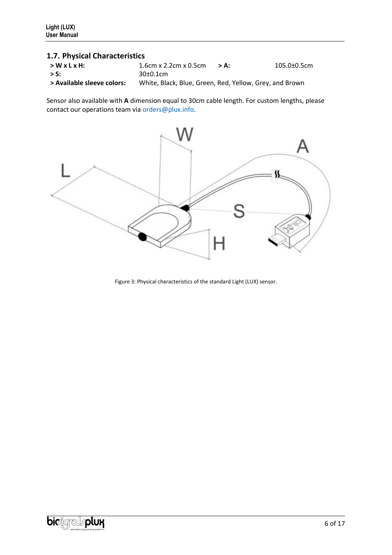## <span id="page-5-0"></span>**1.7. Physical Characteristics**

| $>WxLxH$ :                 | $1.6cm \times 2.2cm \times 0.5cm$                       | > Δ. | $105.0 \pm 0.5$ cm |
|----------------------------|---------------------------------------------------------|------|--------------------|
| $>$ S:                     | 30±0.1cm                                                |      |                    |
| > Available sleeve colors: | White, Black, Blue, Green, Red, Yellow, Grey, and Brown |      |                    |

Sensor also available with **A** dimension equal to 30cm cable length. For custom lengths, please contact our operations team via orders@plux.info.



Figure 3: Physical characteristics of the standard Light (LUX) sensor.

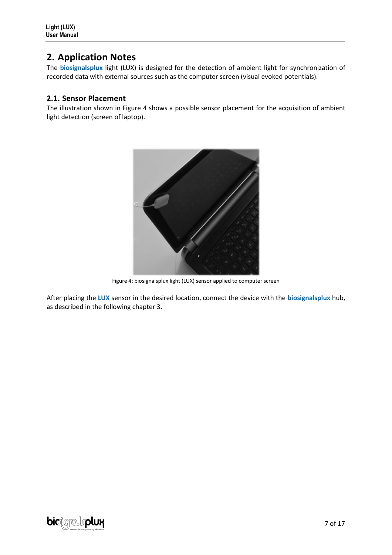## <span id="page-6-0"></span>**2. Application Notes**

The **biosignalsplux** light (LUX) is designed for the detection of ambient light for synchronization of recorded data with external sources such as the computer screen (visual evoked potentials).

## <span id="page-6-1"></span>**2.1. Sensor Placement**

The illustration shown in [Figure 4](#page-6-2) shows a possible sensor placement for the acquisition of ambient light detection (screen of laptop).



Figure 4: biosignalsplux light (LUX) sensor applied to computer screen

<span id="page-6-2"></span>After placing the **LUX** sensor in the desired location, connect the device with the **biosignalsplux** hub, as described in the following chapter [3.](#page-7-0)

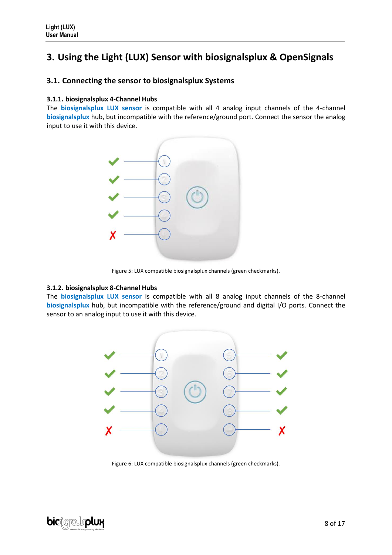# <span id="page-7-0"></span>**3. Using the Light (LUX) Sensor with biosignalsplux & OpenSignals**

### <span id="page-7-1"></span>**3.1. Connecting the sensor to biosignalsplux Systems**

#### <span id="page-7-2"></span>**3.1.1. biosignalsplux 4-Channel Hubs**

The **biosignalsplux LUX sensor** is compatible with all 4 analog input channels of the 4-channel **biosignalsplux** hub, but incompatible with the reference/ground port. Connect the sensor the analog input to use it with this device.



Figure 5: LUX compatible biosignalsplux channels (green checkmarks).

#### <span id="page-7-3"></span>**3.1.2. biosignalsplux 8-Channel Hubs**

The **biosignalsplux LUX sensor** is compatible with all 8 analog input channels of the 8-channel **biosignalsplux** hub, but incompatible with the reference/ground and digital I/O ports. Connect the sensor to an analog input to use it with this device.



Figure 6: LUX compatible biosignalsplux channels (green checkmarks).

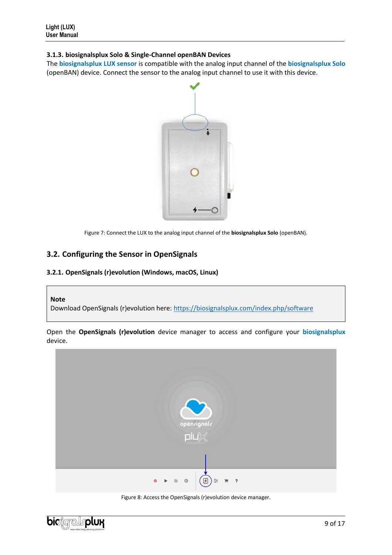#### <span id="page-8-0"></span>**3.1.3. biosignalsplux Solo & Single-Channel openBAN Devices**

The **biosignalsplux LUX sensor** is compatible with the analog input channel of the **biosignalsplux Solo** (openBAN) device. Connect the sensor to the analog input channel to use it with this device.



Figure 7: Connect the LUX to the analog input channel of the **biosignalsplux Solo** (openBAN).

## <span id="page-8-1"></span>**3.2. Configuring the Sensor in OpenSignals**

#### <span id="page-8-2"></span>**3.2.1. OpenSignals (r)evolution (Windows, macOS, Linux)**

#### **Note**

Download OpenSignals (r)evolution here:<https://biosignalsplux.com/index.php/software>

Open the **OpenSignals (r)evolution** device manager to access and configure your **biosignalsplux**  device.





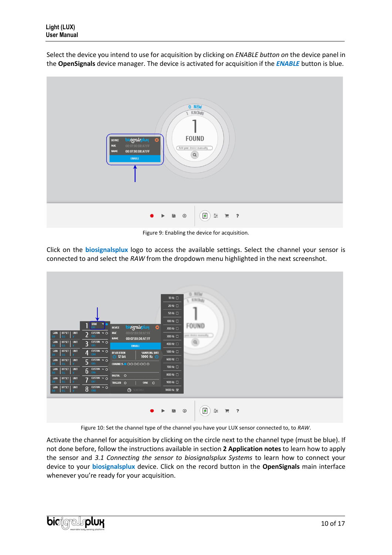Select the device you intend to use for acquisition by clicking on *ENABLE button on* the device panel in the **OpenSignals** device manager. The device is activated for acquisition if the *ENABLE* button is blue.



Figure 9: Enabling the device for acquisition.

Click on the **biosignalsplux** logo to access the available settings. Select the channel your sensor is connected to and select the *RAW* from the dropdown menu highlighted in the next screenshot.



Figure 10: Set the channel type of the channel you have your LUX sensor connected to, to *RAW*.

Activate the channel for acquisition by clicking on the circle next to the channel type (must be blue). If not done before, follow the instructions available in section **2 [Application](#page-6-0) notes** to learn how to apply the sensor and *[3.1](#page-7-1) [Connecting the sensor to biosignalsplux Systems](#page-7-1)* to learn how to connect your device to your **biosignalsplux** device. Click on the record button in the **OpenSignals** main interface whenever you're ready for your acquisition.

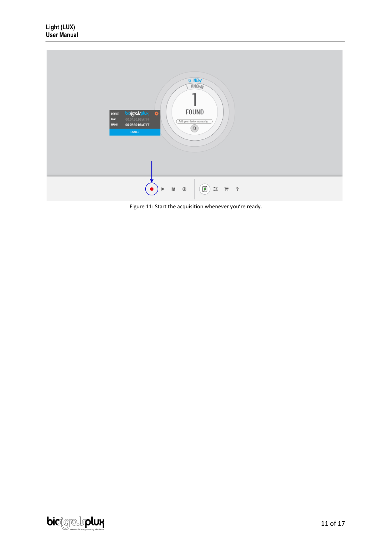

Figure 11: Start the acquisition whenever you're ready.

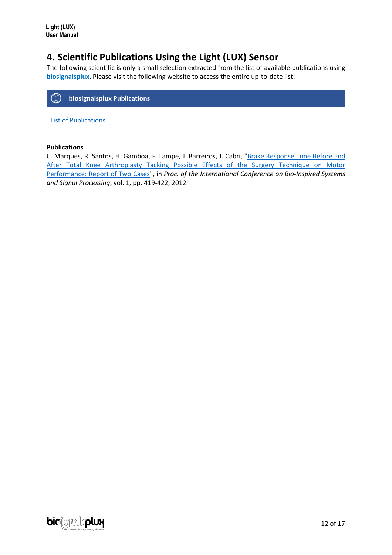## <span id="page-11-0"></span>**4. Scientific Publications Using the Light (LUX) Sensor**

The following scientific is only a small selection extracted from the list of available publications using **biosignalsplux**. Please visit the following website to access the entire up-to-date list:



[List of Publications](https://www.biosignalsplux.com/learn/publications.html)

#### **Publications**

C. Marques, R. Santos, H. Gamboa, F. Lampe, J. Barreiros, J. Cabri, ["Brake Response Time Before and](https://www.scitepress.org/PublicationsDetail.aspx?ID=epJa7aiCA+4=&t=1)  [After Total Knee Arthroplasty Tacking Possible Effects of the Surgery Technique on Motor](https://www.scitepress.org/PublicationsDetail.aspx?ID=epJa7aiCA+4=&t=1)  [Performance: Report of Two Cases"](https://www.scitepress.org/PublicationsDetail.aspx?ID=epJa7aiCA+4=&t=1), in *Proc. of the International Conference on Bio-Inspired Systems and Signal Processing*, vol. 1, pp. 419-422, 2012

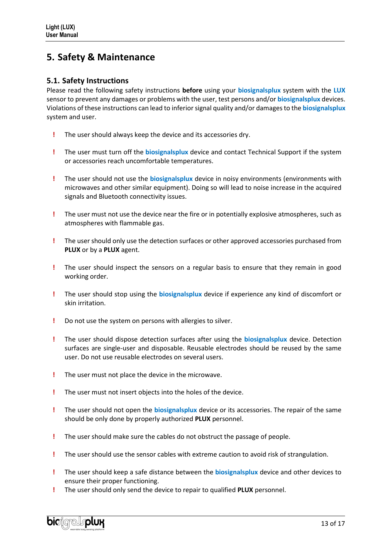## <span id="page-12-0"></span>**5. Safety & Maintenance**

### <span id="page-12-1"></span>**5.1. Safety Instructions**

Please read the following safety instructions **before** using your **biosignalsplux** system with the **LUX** sensor to prevent any damages or problems with the user, test persons and/or **biosignalsplux** devices. Violations of these instructions can lead to inferiorsignal quality and/or damages to the **biosignalsplux** system and user.

- **!** The user should always keep the device and its accessories dry.
- **!** The user must turn off the **biosignalsplux** device and contact Technical Support if the system or accessories reach uncomfortable temperatures.
- **!** The user should not use the **biosignalsplux** device in noisy environments (environments with microwaves and other similar equipment). Doing so will lead to noise increase in the acquired signals and Bluetooth connectivity issues.
- **!** The user must not use the device near the fire or in potentially explosive atmospheres, such as atmospheres with flammable gas.
- **!** The user should only use the detection surfaces or other approved accessories purchased from **PLUX** or by a **PLUX** agent.
- **!** The user should inspect the sensors on a regular basis to ensure that they remain in good working order.
- **!** The user should stop using the **biosignalsplux** device if experience any kind of discomfort or skin irritation.
- **!** Do not use the system on persons with allergies to silver.
- **!** The user should dispose detection surfaces after using the **biosignalsplux** device. Detection surfaces are single-user and disposable. Reusable electrodes should be reused by the same user. Do not use reusable electrodes on several users.
- **!** The user must not place the device in the microwave.
- **!** The user must not insert objects into the holes of the device.
- **!** The user should not open the **biosignalsplux** device or its accessories. The repair of the same should be only done by properly authorized **PLUX** personnel.
- **!** The user should make sure the cables do not obstruct the passage of people.
- **!** The user should use the sensor cables with extreme caution to avoid risk of strangulation.
- **!** The user should keep a safe distance between the **biosignalsplux** device and other devices to ensure their proper functioning.
- **!** The user should only send the device to repair to qualified **PLUX** personnel.

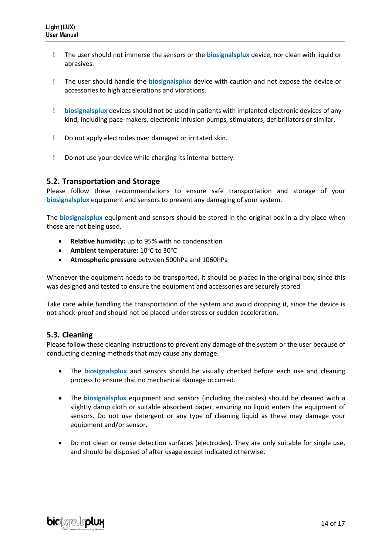- **!** The user should not immerse the sensors or the **biosignalsplux** device, nor clean with liquid or abrasives.
- **!** The user should handle the **biosignalsplux** device with caution and not expose the device or accessories to high accelerations and vibrations.
- **! biosignalsplux** devices should not be used in patients with implanted electronic devices of any kind, including pace-makers, electronic infusion pumps, stimulators, defibrillators or similar.
- **!** Do not apply electrodes over damaged or irritated skin.
- **!** Do not use your device while charging its internal battery.

### <span id="page-13-0"></span>**5.2. Transportation and Storage**

Please follow these recommendations to ensure safe transportation and storage of your **biosignalsplux** equipment and sensors to prevent any damaging of your system.

The **biosignalsplux** equipment and sensors should be stored in the original box in a dry place when those are not being used.

- **Relative humidity:** up to 95% with no condensation
- **Ambient temperature:** 10°C to 30°C
- **Atmospheric pressure** between 500hPa and 1060hPa

Whenever the equipment needs to be transported, it should be placed in the original box, since this was designed and tested to ensure the equipment and accessories are securely stored.

Take care while handling the transportation of the system and avoid dropping it, since the device is not shock-proof and should not be placed under stress or sudden acceleration.

### <span id="page-13-1"></span>**5.3. Cleaning**

Please follow these cleaning instructions to prevent any damage of the system or the user because of conducting cleaning methods that may cause any damage.

- The **biosignalsplux** and sensors should be visually checked before each use and cleaning process to ensure that no mechanical damage occurred.
- The **biosignalsplux** equipment and sensors (including the cables) should be cleaned with a slightly damp cloth or suitable absorbent paper, ensuring no liquid enters the equipment of sensors. Do not use detergent or any type of cleaning liquid as these may damage your equipment and/or sensor.
- Do not clean or reuse detection surfaces (electrodes). They are only suitable for single use, and should be disposed of after usage except indicated otherwise.

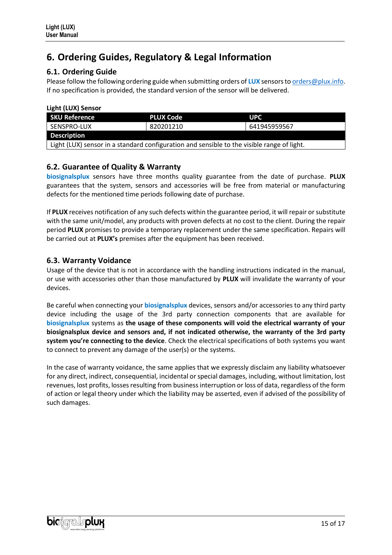# <span id="page-14-0"></span>**6. Ordering Guides, Regulatory & Legal Information**

## <span id="page-14-1"></span>**6.1. Ordering Guide**

Please follow the following ordering guide when submitting orders of **LUX** sensors t[o orders@plux.info.](mailto:orders@plux.info) If no specification is provided, the standard version of the sensor will be delivered.

**Light (LUX) Sensor**

| <b>SKU Reference</b>                                                                       | <b>PLUX Code</b> | <b>UPC</b>   |  |  |
|--------------------------------------------------------------------------------------------|------------------|--------------|--|--|
| SENSPRO-LUX                                                                                | 820201210        | 641945959567 |  |  |
| <b>Description</b>                                                                         |                  |              |  |  |
| Light (LUX) sensor in a standard configuration and sensible to the visible range of light. |                  |              |  |  |

## <span id="page-14-2"></span>**6.2. Guarantee of Quality & Warranty**

**biosignalsplux** sensors have three months quality guarantee from the date of purchase. **PLUX** guarantees that the system, sensors and accessories will be free from material or manufacturing defects for the mentioned time periods following date of purchase.

If **PLUX** receives notification of any such defects within the guarantee period, it will repair or substitute with the same unit/model, any products with proven defects at no cost to the client. During the repair period **PLUX** promises to provide a temporary replacement under the same specification. Repairs will be carried out at **PLUX's** premises after the equipment has been received.

## <span id="page-14-3"></span>**6.3. Warranty Voidance**

Usage of the device that is not in accordance with the handling instructions indicated in the manual, or use with accessories other than those manufactured by **PLUX** will invalidate the warranty of your devices.

Be careful when connecting your **biosignalsplux** devices, sensors and/or accessories to any third party device including the usage of the 3rd party connection components that are available for **biosignalsplux** systems as **the usage of these components will void the electrical warranty of your biosignalsplux device and sensors and, if not indicated otherwise, the warranty of the 3rd party system you're connecting to the device**. Check the electrical specifications of both systems you want to connect to prevent any damage of the user(s) or the systems.

In the case of warranty voidance, the same applies that we expressly disclaim any liability whatsoever for any direct, indirect, consequential, incidental or special damages, including, without limitation, lost revenues, lost profits, losses resulting from business interruption or loss of data, regardless of the form of action or legal theory under which the liability may be asserted, even if advised of the possibility of such damages.

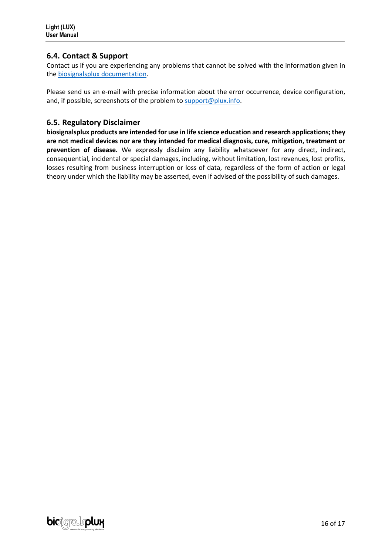## <span id="page-15-1"></span>**6.4. Contact & Support**

Contact us if you are experiencing any problems that cannot be solved with the information given in the [biosignalsplux documentation.](https://www.biosignalsplux.com/index.php/learn/documentation)

Please send us an e-mail with precise information about the error occurrence, device configuration, and, if possible, screenshots of the problem to [support@plux.info.](mailto:support@plux.info)

### <span id="page-15-0"></span>**6.5. Regulatory Disclaimer**

**biosignalsplux products are intended for use in life science education and research applications; they are not medical devices nor are they intended for medical diagnosis, cure, mitigation, treatment or prevention of disease.** We expressly disclaim any liability whatsoever for any direct, indirect, consequential, incidental or special damages, including, without limitation, lost revenues, lost profits, losses resulting from business interruption or loss of data, regardless of the form of action or legal theory under which the liability may be asserted, even if advised of the possibility of such damages.